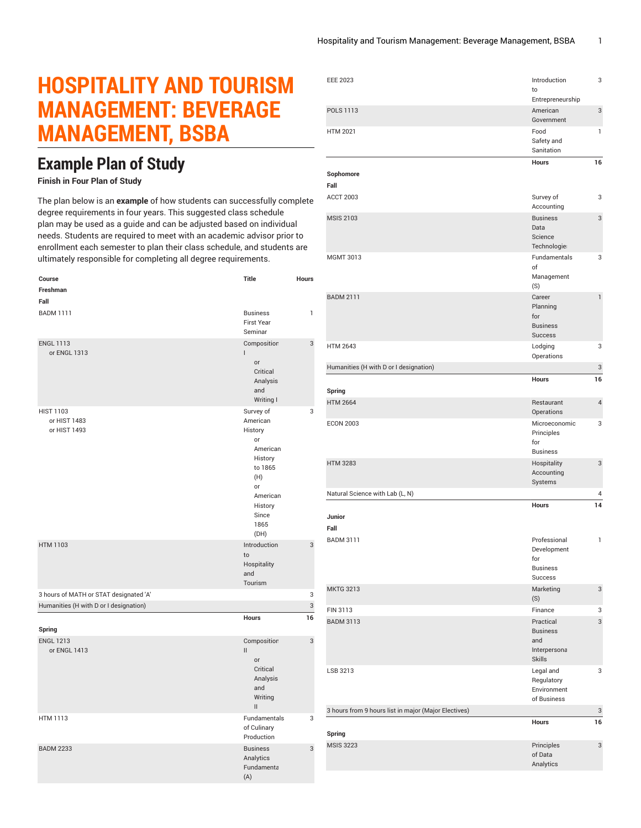## **HOSPITALITY AND TOURISM MANAGEMENT: BEVERAGE MANAGEMENT, BSBA**

## **Example Plan of Study**

## **Finish in Four Plan of Study**

The plan below is an **example** of how students can successfully complete degree requirements in four years. This suggested class schedule plan may be used as a guide and can be adjusted based on individual needs. Students are required to meet with an academic advisor prior to enrollment each semester to plan their class schedule, and students are ultimately responsible for completing all degree requirements.

| Course                                           | <b>Title</b>                                                                                                                          | Hours |
|--------------------------------------------------|---------------------------------------------------------------------------------------------------------------------------------------|-------|
| Freshman                                         |                                                                                                                                       |       |
| Fall                                             |                                                                                                                                       |       |
| <b>BADM 1111</b>                                 | <b>Business</b><br><b>First Year</b><br>Seminar                                                                                       | 1     |
| <b>ENGL 1113</b><br>or ENGL 1313                 | Composition<br>L<br>or<br>Critical<br>Analysis<br>and<br>Writing I                                                                    | 3     |
| <b>HIST 1103</b><br>or HIST 1483<br>or HIST 1493 | Survey of<br>American<br>History<br>or<br>American<br>History<br>to 1865<br>(H)<br>or<br>American<br>History<br>Since<br>1865<br>(DH) | 3     |
| <b>HTM 1103</b>                                  | Introduction<br>to<br>Hospitality<br>and<br>Tourism                                                                                   | 3     |
| 3 hours of MATH or STAT designated 'A'           |                                                                                                                                       | 3     |
| Humanities (H with D or I designation)           |                                                                                                                                       | 3     |
|                                                  | Hours                                                                                                                                 | 16    |
| Spring<br><b>ENGL 1213</b><br>or ENGL 1413       | Composition<br>Ш<br><b>or</b><br>Critical<br>Analysis<br>and<br>Writing<br>$\mathbf{II}$                                              | 3     |
| <b>HTM 1113</b>                                  | Fundamentals<br>of Culinary<br>Production                                                                                             | 3     |
| <b>BADM 2233</b>                                 | <b>Business</b><br>Analytics<br>Fundamenta<br>(A)                                                                                     | 3     |

| <b>EEE 2023</b>                                      | Introduction<br>to                                                   | 3              |
|------------------------------------------------------|----------------------------------------------------------------------|----------------|
|                                                      | Entrepreneurship                                                     |                |
| <b>POLS 1113</b>                                     | American<br>Government                                               | 3              |
| <b>HTM 2021</b>                                      | Food<br>Safety and<br>Sanitation                                     | $\mathbf{1}$   |
|                                                      | <b>Hours</b>                                                         | 16             |
| Sophomore<br>Fall                                    |                                                                      |                |
| <b>ACCT 2003</b>                                     | Survey of<br>Accounting                                              | 3              |
| <b>MSIS 2103</b>                                     | <b>Business</b><br>Data<br>Science<br>Technologie                    | 3              |
| MGMT 3013                                            | Fundamentals<br>оf<br>Management<br>(S)                              | 3              |
| <b>BADM 2111</b>                                     | Career<br>Planning<br>for<br><b>Business</b><br>Success              | $\mathbf{1}$   |
| <b>HTM 2643</b>                                      | Lodging<br>Operations                                                | 3              |
| Humanities (H with D or I designation)               |                                                                      | 3              |
| Spring                                               | <b>Hours</b>                                                         | 16             |
| <b>HTM 2664</b>                                      | Restaurant<br>Operations                                             | $\overline{4}$ |
| <b>ECON 2003</b>                                     | Microeconomic<br>Principles<br>for<br><b>Business</b>                | 3              |
| <b>HTM 3283</b>                                      | Hospitality<br>Accounting<br>Systems                                 | 3              |
| Natural Science with Lab (L, N)                      |                                                                      | 4              |
| Junior<br>Fall                                       | Hours                                                                | 14             |
| <b>BADM 3111</b>                                     | Professional<br>Development<br>for<br><b>Business</b><br>Success     | $\mathbf{1}$   |
| <b>MKTG 3213</b>                                     | Marketing<br>(S)                                                     | 3              |
| FIN 3113                                             | Finance                                                              | 3              |
| <b>BADM 3113</b>                                     | Practical<br><b>Business</b><br>and<br>Interpersona<br><b>Skills</b> | 3              |
| LSB 3213                                             | Legal and<br>Regulatory<br>Environment<br>of Business                | 3              |
| 3 hours from 9 hours list in major (Major Electives) |                                                                      | 3              |
| Spring                                               | Hours                                                                | 16             |
| <b>MSIS 3223</b>                                     | Principles<br>of Data<br>Analytics                                   | 3              |
|                                                      |                                                                      |                |